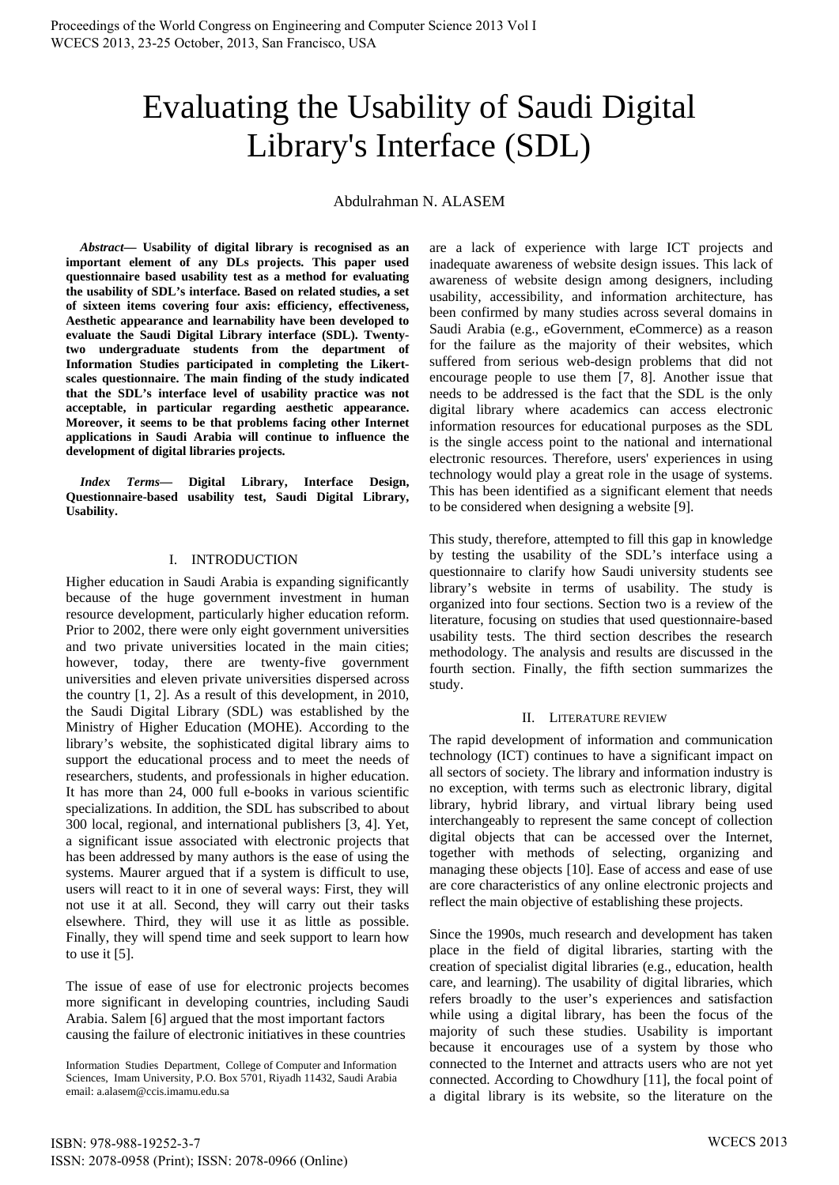# Evaluating the Usability of Saudi Digital Library's Interface (SDL)

# Abdulrahman N. ALASEM

*Abstract***— Usability of digital library is recognised as an important element of any DLs projects. This paper used questionnaire based usability test as a method for evaluating the usability of SDL's interface. Based on related studies, a set of sixteen items covering four axis: efficiency, effectiveness, Aesthetic appearance and learnability have been developed to evaluate the Saudi Digital Library interface (SDL). Twentytwo undergraduate students from the department of Information Studies participated in completing the Likertscales questionnaire. The main finding of the study indicated that the SDL's interface level of usability practice was not acceptable, in particular regarding aesthetic appearance. Moreover, it seems to be that problems facing other Internet applications in Saudi Arabia will continue to influence the development of digital libraries projects.** 

*Index Terms***— Digital Library, Interface Design, Questionnaire-based usability test, Saudi Digital Library, Usability.** 

## I. INTRODUCTION

Higher education in Saudi Arabia is expanding significantly because of the huge government investment in human resource development, particularly higher education reform. Prior to 2002, there were only eight government universities and two private universities located in the main cities; however, today, there are twenty-five government universities and eleven private universities dispersed across the country [1, 2]. As a result of this development, in 2010, the Saudi Digital Library (SDL) was established by the Ministry of Higher Education (MOHE). According to the library's website, the sophisticated digital library aims to support the educational process and to meet the needs of researchers, students, and professionals in higher education. It has more than 24, 000 full e-books in various scientific specializations. In addition, the SDL has subscribed to about 300 local, regional, and international publishers [3, 4]. Yet, a significant issue associated with electronic projects that has been addressed by many authors is the ease of using the systems. Maurer argued that if a system is difficult to use, users will react to it in one of several ways: First, they will not use it at all. Second, they will carry out their tasks elsewhere. Third, they will use it as little as possible. Finally, they will spend time and seek support to learn how to use it [5].

The issue of ease of use for electronic projects becomes more significant in developing countries, including Saudi Arabia. Salem [6] argued that the most important factors causing the failure of electronic initiatives in these countries

Information Studies Department, College of Computer and Information Sciences, Imam University, P.O. Box 5701, Riyadh 11432, Saudi Arabia email: a.alasem@ccis.imamu.edu.sa

are a lack of experience with large ICT projects and inadequate awareness of website design issues. This lack of awareness of website design among designers, including usability, accessibility, and information architecture, has been confirmed by many studies across several domains in Saudi Arabia (e.g., eGovernment, eCommerce) as a reason for the failure as the majority of their websites, which suffered from serious web-design problems that did not encourage people to use them [7, 8]. Another issue that needs to be addressed is the fact that the SDL is the only digital library where academics can access electronic information resources for educational purposes as the SDL is the single access point to the national and international electronic resources. Therefore, users' experiences in using technology would play a great role in the usage of systems. This has been identified as a significant element that needs to be considered when designing a website [9].

This study, therefore, attempted to fill this gap in knowledge by testing the usability of the SDL's interface using a questionnaire to clarify how Saudi university students see library's website in terms of usability. The study is organized into four sections. Section two is a review of the literature, focusing on studies that used questionnaire-based usability tests. The third section describes the research methodology. The analysis and results are discussed in the fourth section. Finally, the fifth section summarizes the study.

## II. LITERATURE REVIEW

The rapid development of information and communication technology (ICT) continues to have a significant impact on all sectors of society. The library and information industry is no exception, with terms such as electronic library, digital library, hybrid library, and virtual library being used interchangeably to represent the same concept of collection digital objects that can be accessed over the Internet, together with methods of selecting, organizing and managing these objects [10]. Ease of access and ease of use are core characteristics of any online electronic projects and reflect the main objective of establishing these projects.

Since the 1990s, much research and development has taken place in the field of digital libraries, starting with the creation of specialist digital libraries (e.g., education, health care, and learning). The usability of digital libraries, which refers broadly to the user's experiences and satisfaction while using a digital library, has been the focus of the majority of such these studies. Usability is important because it encourages use of a system by those who connected to the Internet and attracts users who are not yet connected. According to Chowdhury [11], the focal point of a digital library is its website, so the literature on the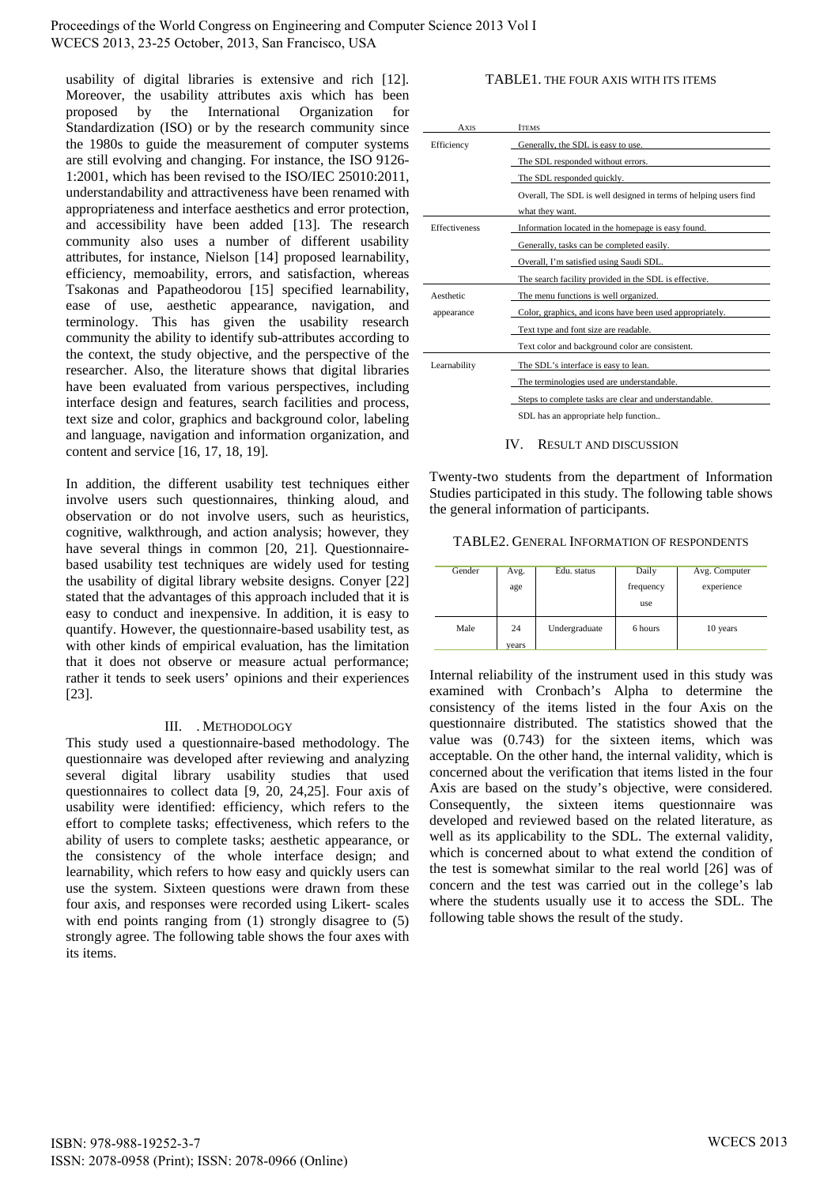Proceedings of the World Congress on Engineering and Computer Science 2013 Vol I WCECS 2013, 23-25 October, 2013, San Francisco, USA

usability of digital libraries is extensive and rich [12]. Moreover, the usability attributes axis which has been proposed by the International Organization for Standardization (ISO) or by the research community since the 1980s to guide the measurement of computer systems are still evolving and changing. For instance, the ISO 9126- 1:2001, which has been revised to the ISO/IEC 25010:2011, understandability and attractiveness have been renamed with appropriateness and interface aesthetics and error protection, and accessibility have been added [13]. The research community also uses a number of different usability attributes, for instance, Nielson [14] proposed learnability, efficiency, memoability, errors, and satisfaction, whereas Tsakonas and Papatheodorou [15] specified learnability, ease of use, aesthetic appearance, navigation, and terminology. This has given the usability research community the ability to identify sub-attributes according to the context, the study objective, and the perspective of the researcher. Also, the literature shows that digital libraries have been evaluated from various perspectives, including interface design and features, search facilities and process, text size and color, graphics and background color, labeling and language, navigation and information organization, and content and service [16, 17, 18, 19].

In addition, the different usability test techniques either involve users such questionnaires, thinking aloud, and observation or do not involve users, such as heuristics, cognitive, walkthrough, and action analysis; however, they have several things in common [20, 21]. Questionnairebased usability test techniques are widely used for testing the usability of digital library website designs. Conyer [22] stated that the advantages of this approach included that it is easy to conduct and inexpensive. In addition, it is easy to quantify. However, the questionnaire-based usability test, as with other kinds of empirical evaluation, has the limitation that it does not observe or measure actual performance; rather it tends to seek users' opinions and their experiences [23].

#### III. . METHODOLOGY

This study used a questionnaire-based methodology. The questionnaire was developed after reviewing and analyzing several digital library usability studies that used questionnaires to collect data [9, 20, 24,25]. Four axis of usability were identified: efficiency, which refers to the effort to complete tasks; effectiveness, which refers to the ability of users to complete tasks; aesthetic appearance, or the consistency of the whole interface design; and learnability, which refers to how easy and quickly users can use the system. Sixteen questions were drawn from these four axis, and responses were recorded using Likert- scales with end points ranging from (1) strongly disagree to (5) strongly agree. The following table shows the four axes with its items.

## TABLE1. THE FOUR AXIS WITH ITS ITEMS

| <b>A</b> XIS         | <b>ITEMS</b>                                                     |
|----------------------|------------------------------------------------------------------|
| Efficiency           | Generally, the SDL is easy to use.                               |
|                      | The SDL responded without errors.                                |
|                      | The SDL responded quickly.                                       |
|                      | Overall, The SDL is well designed in terms of helping users find |
|                      | what they want.                                                  |
| <b>Effectiveness</b> | Information located in the homepage is easy found.               |
|                      | Generally, tasks can be completed easily.                        |
|                      | Overall, I'm satisfied using Saudi SDL.                          |
|                      | The search facility provided in the SDL is effective.            |
| Aesthetic            | The menu functions is well organized.                            |
| appearance           | Color, graphics, and icons have been used appropriately.         |
|                      | Text type and font size are readable.                            |
|                      | Text color and background color are consistent.                  |
| Learnability         | The SDL's interface is easy to lean.                             |
|                      | The terminologies used are understandable.                       |
|                      | Steps to complete tasks are clear and understandable.            |
|                      | SDL has an appropriate help function                             |

#### IV. RESULT AND DISCUSSION

Twenty-two students from the department of Information Studies participated in this study. The following table shows the general information of participants.

#### TABLE2. GENERAL INFORMATION OF RESPONDENTS

| Gender | Avg.        | Edu. status   | Daily            | Avg. Computer |
|--------|-------------|---------------|------------------|---------------|
|        | age         |               | frequency<br>use | experience    |
| Male   | 24<br>years | Undergraduate | 6 hours          | 10 years      |

Internal reliability of the instrument used in this study was examined with Cronbach's Alpha to determine the consistency of the items listed in the four Axis on the questionnaire distributed. The statistics showed that the value was (0.743) for the sixteen items, which was acceptable. On the other hand, the internal validity, which is concerned about the verification that items listed in the four Axis are based on the study's objective, were considered. Consequently, the sixteen items questionnaire was developed and reviewed based on the related literature, as well as its applicability to the SDL. The external validity, which is concerned about to what extend the condition of the test is somewhat similar to the real world [26] was of concern and the test was carried out in the college's lab where the students usually use it to access the SDL. The following table shows the result of the study.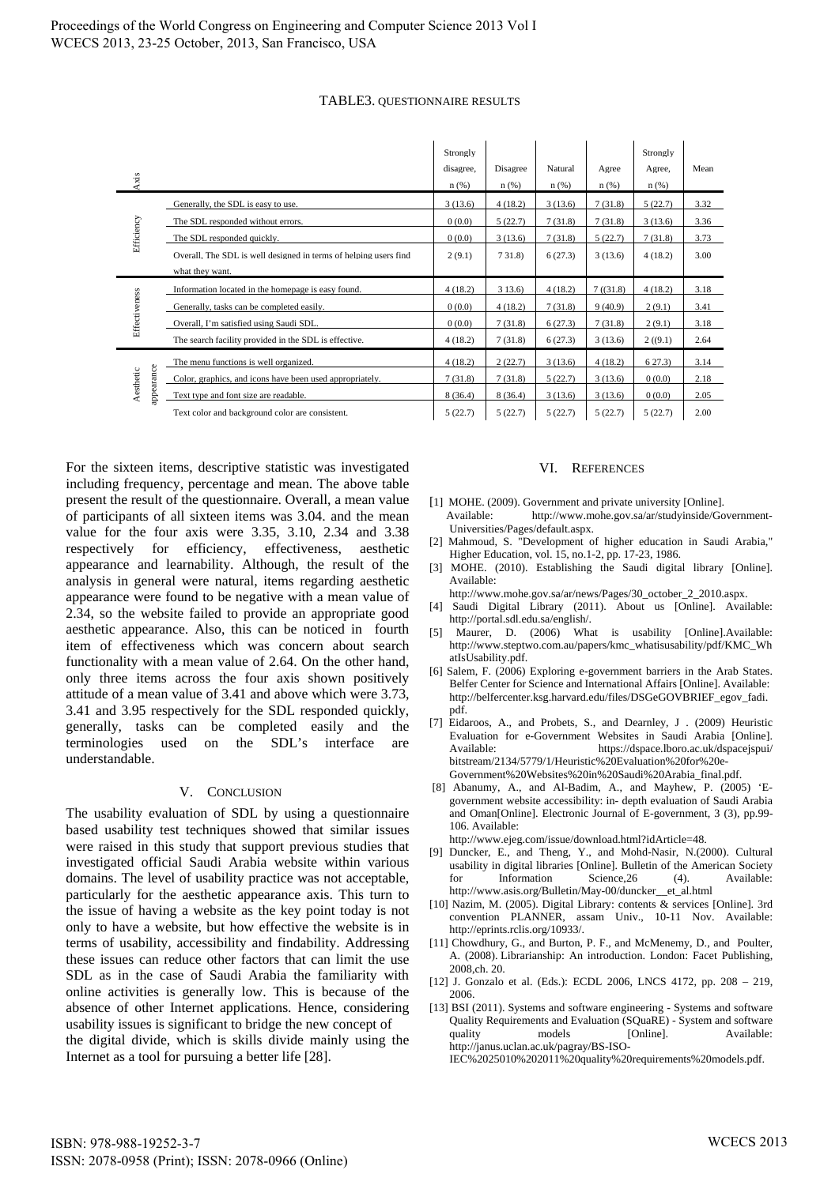## TABLE3. QUESTIONNAIRE RESULTS

| Axis          |                                                                                     | Strongly<br>disagree,<br>$n$ (%) | Disagree<br>n(%) | Natural<br>n(%) | Agree<br>n(%) | Strongly<br>Agree,<br>n(%) | Mean |
|---------------|-------------------------------------------------------------------------------------|----------------------------------|------------------|-----------------|---------------|----------------------------|------|
|               | Generally, the SDL is easy to use.                                                  | 3(13.6)                          | 4(18.2)          | 3(13.6)         | 7(31.8)       | 5(22.7)                    | 3.32 |
|               | The SDL responded without errors.                                                   | 0(0.0)                           | 5(22.7)          | 7(31.8)         | 7(31.8)       | 3(13.6)                    | 3.36 |
| Efficiency    | The SDL responded quickly.                                                          | 0(0.0)                           | 3(13.6)          | 7(31.8)         | 5(22.7)       | 7(31.8)                    | 3.73 |
|               | Overall, The SDL is well designed in terms of helping users find<br>what they want. | 2(9.1)                           | 731.8            | 6(27.3)         | 3(13.6)       | 4(18.2)                    | 3.00 |
|               |                                                                                     |                                  |                  |                 |               |                            |      |
|               | Information located in the homepage is easy found.                                  | 4(18.2)                          | 313.6            | 4(18.2)         | 7(31.8)       | 4(18.2)                    | 3.18 |
|               | Generally, tasks can be completed easily.                                           | 0(0.0)                           | 4(18.2)          | 7(31.8)         | 9(40.9)       | 2(9.1)                     | 3.41 |
|               | Overall, I'm satisfied using Saudi SDL.                                             | 0(0.0)                           | 7(31.8)          | 6(27.3)         | 7(31.8)       | 2(9.1)                     | 3.18 |
| Effectiveness | The search facility provided in the SDL is effective.                               | 4(18.2)                          | 7(31.8)          | 6(27.3)         | 3(13.6)       | 2(9.1)                     | 2.64 |
|               | The menu functions is well organized.                                               | 4(18.2)                          | 2(22.7)          | 3(13.6)         | 4(18.2)       | 627.3                      | 3.14 |
|               | Color, graphics, and icons have been used appropriately.                            | 7(31.8)                          | 7(31.8)          | 5(22.7)         | 3(13.6)       | 0(0.0)                     | 2.18 |
| Aesthetic     | appearance<br>Text type and font size are readable.                                 | 8(36.4)                          | 8(36.4)          | 3(13.6)         | 3(13.6)       | 0(0.0)                     | 2.05 |

For the sixteen items, descriptive statistic was investigated including frequency, percentage and mean. The above table present the result of the questionnaire. Overall, a mean value of participants of all sixteen items was 3.04. and the mean value for the four axis were 3.35, 3.10, 2.34 and 3.38 respectively for efficiency, effectiveness, aesthetic appearance and learnability. Although, the result of the analysis in general were natural, items regarding aesthetic appearance were found to be negative with a mean value of 2.34, so the website failed to provide an appropriate good aesthetic appearance. Also, this can be noticed in fourth item of effectiveness which was concern about search functionality with a mean value of 2.64. On the other hand, only three items across the four axis shown positively attitude of a mean value of 3.41 and above which were 3.73, 3.41 and 3.95 respectively for the SDL responded quickly, generally, tasks can be completed easily and the terminologies used on the SDL's interface are understandable.

#### V. CONCLUSION

The usability evaluation of SDL by using a questionnaire based usability test techniques showed that similar issues were raised in this study that support previous studies that investigated official Saudi Arabia website within various domains. The level of usability practice was not acceptable, particularly for the aesthetic appearance axis. This turn to the issue of having a website as the key point today is not only to have a website, but how effective the website is in terms of usability, accessibility and findability. Addressing these issues can reduce other factors that can limit the use SDL as in the case of Saudi Arabia the familiarity with online activities is generally low. This is because of the absence of other Internet applications. Hence, considering usability issues is significant to bridge the new concept of the digital divide, which is skills divide mainly using the Internet as a tool for pursuing a better life [28].

#### VI. REFERENCES

- [1] MOHE. (2009). Government and private university [Online]. Available: http://www.mohe.gov.sa/ar/studyinside/Government-Universities/Pages/default.aspx.
- [2] Mahmoud, S. "Development of higher education in Saudi Arabia," Higher Education, vol. 15, no.1-2, pp. 17-23, 1986.
- [3] MOHE. (2010). Establishing the Saudi digital library [Online]. Available:
- http://www.mohe.gov.sa/ar/news/Pages/30\_october\_2\_2010.aspx.
- [4] Saudi Digital Library (2011). About us [Online]. Available: http://portal.sdl.edu.sa/english/.
- [5] Maurer, D. (2006) What is usability [Online].Available: http://www.steptwo.com.au/papers/kmc\_whatisusability/pdf/KMC\_Wh atIsUsability.pdf.
- [6] Salem, F. (2006) Exploring e-government barriers in the Arab States. Belfer Center for Science and International Affairs [Online]. Available: http://belfercenter.ksg.harvard.edu/files/DSGeGOVBRIEF\_egov\_fadi. pdf.
- [7] Eidaroos, A., and Probets, S., and Dearnley, J . (2009) Heuristic Evaluation for e-Government Websites in Saudi Arabia [Online]. Available: https://dspace.lboro.ac.uk/dspacejspui/ bitstream/2134/5779/1/Heuristic%20Evaluation%20for%20e-Government%20Websites%20in%20Saudi%20Arabia\_final.pdf.
- [8] Abanumy, A., and Al-Badim, A., and Mayhew, P. (2005) 'Egovernment website accessibility: in- depth evaluation of Saudi Arabia and Oman[Online]. Electronic Journal of E-government, 3 (3), pp.99- 106. Available:
- http://www.ejeg.com/issue/download.html?idArticle=48.
- [9] Duncker, E., and Theng, Y., and Mohd-Nasir, N.(2000). Cultural usability in digital libraries [Online]. Bulletin of the American Society for Information Science,26 (4). Available: http://www.asis.org/Bulletin/May-00/duncker\_\_et\_al.html
- [10] Nazim, M. (2005). Digital Library: contents & services [Online]. 3rd convention PLANNER, assam Univ., 10-11 Nov. Available: http://eprints.rclis.org/10933/.
- [11] Chowdhury, G., and Burton, P. F., and McMenemy, D., and Poulter, A. (2008). Librarianship: An introduction. London: Facet Publishing, 2008,ch. 20.
- [12] J. Gonzalo et al. (Eds.): ECDL 2006, LNCS 4172, pp. 208 219, 2006.
- [13] BSI (2011). Systems and software engineering Systems and software Quality Requirements and Evaluation (SQuaRE) - System and software quality models [Online]. Available: http://janus.uclan.ac.uk/pagray/BS-ISO-

IEC%2025010%202011%20quality%20requirements%20models.pdf.